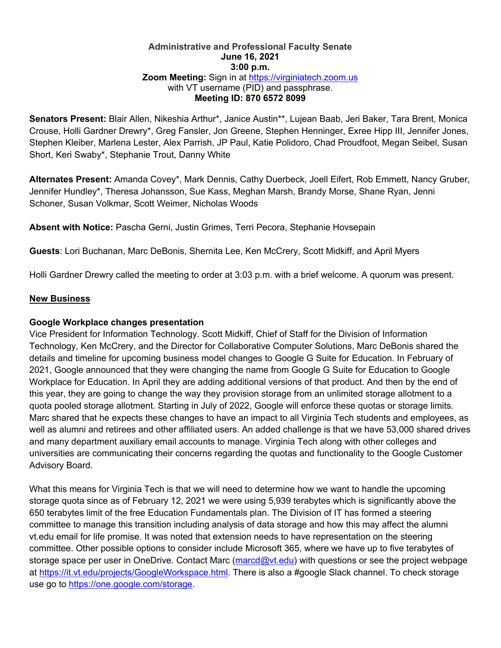#### **Administrative and Professional Faculty Senate June 16, 2021 3:00 p.m. Zoom Meeting:** Sign in at https://virginiatech.zoom.us with VT username (PID) and passphrase. **Meeting ID: 870 6572 8099**

**Senators Present:** Blair Allen, Nikeshia Arthur\*, Janice Austin\*\*, Lujean Baab, Jeri Baker, Tara Brent, Monica Crouse, Holli Gardner Drewry\*, Greg Fansler, Jon Greene, Stephen Henninger, Exree Hipp III, Jennifer Jones, Stephen Kleiber, Marlena Lester, Alex Parrish, JP Paul, Katie Polidoro, Chad Proudfoot, Megan Seibel, Susan Short, Keri Swaby\*, Stephanie Trout, Danny White

**Alternates Present:** Amanda Covey\*, Mark Dennis, Cathy Duerbeck, Joell Eifert, Rob Emmett, Nancy Gruber, Jennifer Hundley\*, Theresa Johansson, Sue Kass, Meghan Marsh, Brandy Morse, Shane Ryan, Jenni Schoner, Susan Volkmar, Scott Weimer, Nicholas Woods

**Absent with Notice:** Pascha Gerni, Justin Grimes, Terri Pecora, Stephanie Hovsepain

**Guests**: Lori Buchanan, Marc DeBonis, Shernita Lee, Ken McCrery, Scott Midkiff, and April Myers

Holli Gardner Drewry called the meeting to order at 3:03 p.m. with a brief welcome. A quorum was present.

## **New Business**

#### **Google Workplace changes presentation**

Vice President for Information Technology. Scott Midkiff, Chief of Staff for the Division of Information Technology, Ken McCrery, and the Director for Collaborative Computer Solutions, Marc DeBonis shared the details and timeline for upcoming business model changes to Google G Suite for Education. In February of 2021, Google announced that they were changing the name from Google G Suite for Education to Google Workplace for Education. In April they are adding additional versions of that product. And then by the end of this year, they are going to change the way they provision storage from an unlimited storage allotment to a quota pooled storage allotment. Starting in July of 2022, Google will enforce these quotas or storage limits. Marc shared that he expects these changes to have an impact to all Virginia Tech students and employees, as well as alumni and retirees and other affiliated users. An added challenge is that we have 53,000 shared drives and many department auxiliary email accounts to manage. Virginia Tech along with other colleges and universities are communicating their concerns regarding the quotas and functionality to the Google Customer Advisory Board.

What this means for Virginia Tech is that we will need to determine how we want to handle the upcoming storage quota since as of February 12, 2021 we were using 5,939 terabytes which is significantly above the 650 terabytes limit of the free Education Fundamentals plan. The Division of IT has formed a steering committee to manage this transition including analysis of data storage and how this may affect the alumni vt.edu email for life promise. It was noted that extension needs to have representation on the steering committee. Other possible options to consider include Microsoft 365, where we have up to five terabytes of storage space per user in OneDrive. Contact Marc (marcd@vt.edu) with questions or see the project webpage at https://it.vt.edu/projects/GoogleWorkspace.html. There is also a #google Slack channel. To check storage use go to https://one.google.com/storage.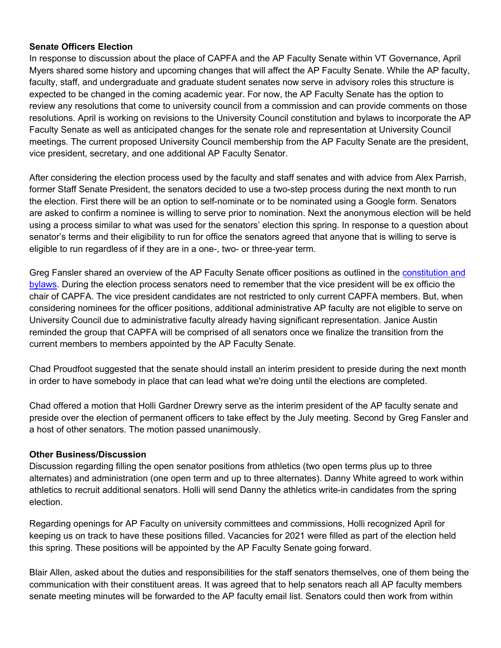## **Senate Officers Election**

In response to discussion about the place of CAPFA and the AP Faculty Senate within VT Governance, April Myers shared some history and upcoming changes that will affect the AP Faculty Senate. While the AP faculty, faculty, staff, and undergraduate and graduate student senates now serve in advisory roles this structure is expected to be changed in the coming academic year. For now, the AP Faculty Senate has the option to review any resolutions that come to university council from a commission and can provide comments on those resolutions. April is working on revisions to the University Council constitution and bylaws to incorporate the AP Faculty Senate as well as anticipated changes for the senate role and representation at University Council meetings. The current proposed University Council membership from the AP Faculty Senate are the president, vice president, secretary, and one additional AP Faculty Senator.

After considering the election process used by the faculty and staff senates and with advice from Alex Parrish, former Staff Senate President, the senators decided to use a two-step process during the next month to run the election. First there will be an option to self-nominate or to be nominated using a Google form. Senators are asked to confirm a nominee is willing to serve prior to nomination. Next the anonymous election will be held using a process similar to what was used for the senators' election this spring. In response to a question about senator's terms and their eligibility to run for office the senators agreed that anyone that is willing to serve is eligible to run regardless of if they are in a one-, two- or three-year term.

Greg Fansler shared an overview of the AP Faculty Senate officer positions as outlined in the constitution and bylaws. During the election process senators need to remember that the vice president will be ex officio the chair of CAPFA. The vice president candidates are not restricted to only current CAPFA members. But, when considering nominees for the officer positions, additional administrative AP faculty are not eligible to serve on University Council due to administrative faculty already having significant representation. Janice Austin reminded the group that CAPFA will be comprised of all senators once we finalize the transition from the current members to members appointed by the AP Faculty Senate.

Chad Proudfoot suggested that the senate should install an interim president to preside during the next month in order to have somebody in place that can lead what we're doing until the elections are completed.

Chad offered a motion that Holli Gardner Drewry serve as the interim president of the AP faculty senate and preside over the election of permanent officers to take effect by the July meeting. Second by Greg Fansler and a host of other senators. The motion passed unanimously.

## **Other Business/Discussion**

Discussion regarding filling the open senator positions from athletics (two open terms plus up to three alternates) and administration (one open term and up to three alternates). Danny White agreed to work within athletics to recruit additional senators. Holli will send Danny the athletics write-in candidates from the spring election.

Regarding openings for AP Faculty on university committees and commissions, Holli recognized April for keeping us on track to have these positions filled. Vacancies for 2021 were filled as part of the election held this spring. These positions will be appointed by the AP Faculty Senate going forward.

Blair Allen, asked about the duties and responsibilities for the staff senators themselves, one of them being the communication with their constituent areas. It was agreed that to help senators reach all AP faculty members senate meeting minutes will be forwarded to the AP faculty email list. Senators could then work from within